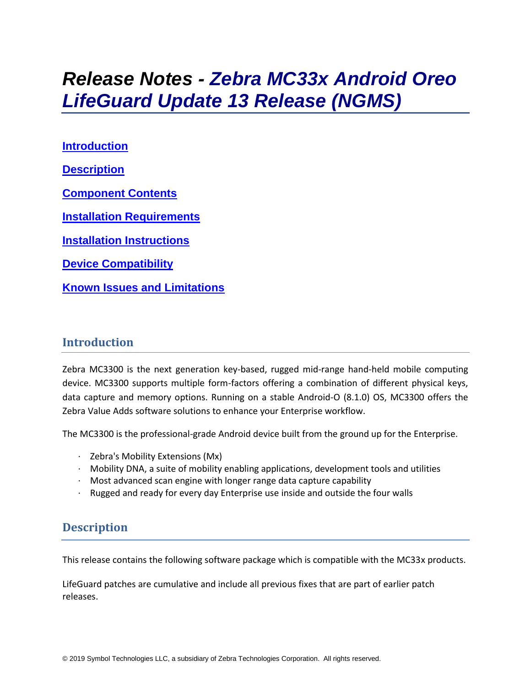# *Release Notes - Zebra MC33x Android Oreo LifeGuard Update 13 Release (NGMS)*

**[Introduction](#page-0-0) [Description](#page-0-1) [Component Contents](#page-1-0) [Installation Requirements](#page-3-0) [Installation Instructions](#page-4-0) [Device Compatibility](#page-5-0) Known [Issues and Limitations](#page-7-0)**

## <span id="page-0-0"></span>**Introduction**

Zebra MC3300 is the next generation key-based, rugged mid-range hand-held mobile computing device. MC3300 supports multiple form-factors offering a combination of different physical keys, data capture and memory options. Running on a stable Android-O (8.1.0) OS, MC3300 offers the Zebra Value Adds software solutions to enhance your Enterprise workflow.

The MC3300 is the professional-grade Android device built from the ground up for the Enterprise.

- · Zebra's Mobility Extensions (Mx)
- $\cdot$  Mobility DNA, a suite of mobility enabling applications, development tools and utilities
- · Most advanced scan engine with longer range data capture capability
- <span id="page-0-1"></span>Rugged and ready for every day Enterprise use inside and outside the four walls

## **Description**

This release contains the following software package which is compatible with the MC33x products.

LifeGuard patches are cumulative and include all previous fixes that are part of earlier patch releases.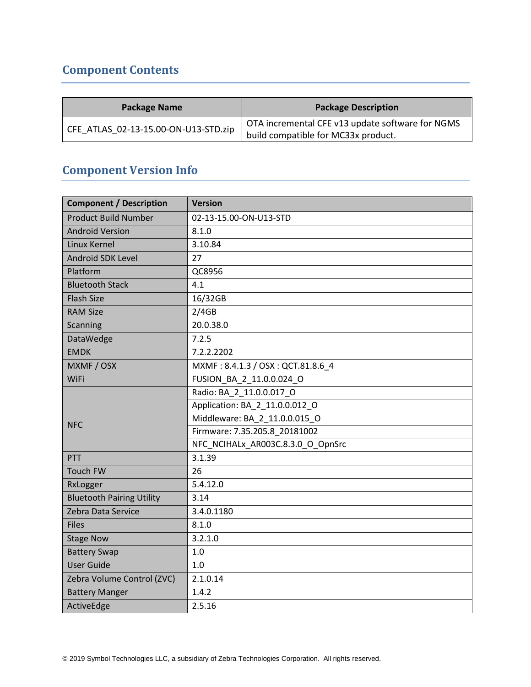## <span id="page-1-0"></span>**Component Contents**

| <b>Package Name</b>                  | <b>Package Description</b>                       |
|--------------------------------------|--------------------------------------------------|
| CFE ATLAS 02-13-15.00-ON-U13-STD.zip | OTA incremental CFE v13 update software for NGMS |
|                                      | build compatible for MC33x product.              |

## **Component Version Info**

| <b>Component / Description</b>   | <b>Version</b>                    |  |  |
|----------------------------------|-----------------------------------|--|--|
| <b>Product Build Number</b>      | 02-13-15.00-ON-U13-STD            |  |  |
| <b>Android Version</b>           | 8.1.0                             |  |  |
| Linux Kernel                     | 3.10.84                           |  |  |
| Android SDK Level                | 27                                |  |  |
| Platform                         | QC8956                            |  |  |
| <b>Bluetooth Stack</b>           | 4.1                               |  |  |
| <b>Flash Size</b>                | 16/32GB                           |  |  |
| <b>RAM Size</b>                  | 2/4GB                             |  |  |
| Scanning                         | 20.0.38.0                         |  |  |
| DataWedge                        | 7.2.5                             |  |  |
| <b>EMDK</b>                      | 7.2.2.2202                        |  |  |
| MXMF / OSX                       | MXMF: 8.4.1.3 / OSX: QCT.81.8.6_4 |  |  |
| WiFi                             | FUSION_BA_2_11.0.0.024_O          |  |  |
| <b>NFC</b>                       | Radio: BA 2 11.0.0.017 O          |  |  |
|                                  | Application: BA_2_11.0.0.012 O    |  |  |
|                                  | Middleware: BA 2 11.0.0.015 O     |  |  |
|                                  | Firmware: 7.35.205.8 20181002     |  |  |
|                                  | NFC_NCIHALx_AR003C.8.3.0_O_OpnSrc |  |  |
| <b>PTT</b>                       | 3.1.39                            |  |  |
| <b>Touch FW</b>                  | 26                                |  |  |
| RxLogger                         | 5.4.12.0                          |  |  |
| <b>Bluetooth Pairing Utility</b> | 3.14                              |  |  |
| Zebra Data Service               | 3.4.0.1180                        |  |  |
| <b>Files</b>                     | 8.1.0                             |  |  |
| <b>Stage Now</b>                 | 3.2.1.0                           |  |  |
| <b>Battery Swap</b>              | $1.0$                             |  |  |
| <b>User Guide</b>                | 1.0                               |  |  |
| Zebra Volume Control (ZVC)       | 2.1.0.14                          |  |  |
| <b>Battery Manger</b>            | 1.4.2                             |  |  |
| ActiveEdge                       | 2.5.16                            |  |  |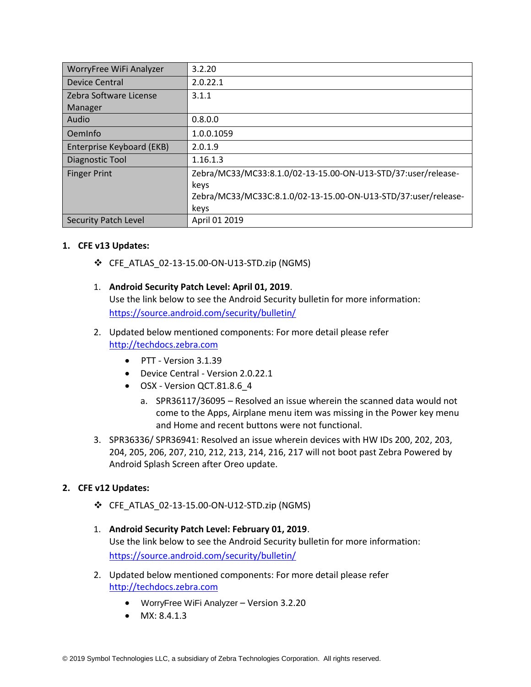| WorryFree WiFi Analyzer     | 3.2.20                                                                |
|-----------------------------|-----------------------------------------------------------------------|
| Device Central              | 2.0.22.1                                                              |
| Zebra Software License      | 3.1.1                                                                 |
| Manager                     |                                                                       |
| Audio                       | 0.8.0.0                                                               |
| OemInfo                     | 1.0.0.1059                                                            |
| Enterprise Keyboard (EKB)   | 2.0.1.9                                                               |
| Diagnostic Tool             | 1.16.1.3                                                              |
| <b>Finger Print</b>         | Zebra/MC33/MC33:8.1.0/02-13-15.00-ON-U13-STD/37:user/release-<br>keys |
|                             | Zebra/MC33/MC33C:8.1.0/02-13-15.00-ON-U13-STD/37:user/release-        |
|                             | keys                                                                  |
| <b>Security Patch Level</b> | April 01 2019                                                         |

#### **1. CFE v13 Updates:**

- ❖ CFE\_ATLAS\_02-13-15.00-ON-U13-STD.zip (NGMS)
- 1. **Android Security Patch Level: April 01, 2019**. Use the link below to see the Android Security bulletin for more information: <https://source.android.com/security/bulletin/>
- 2. Updated below mentioned components: For more detail please refer [http://techdocs.zebra.com](http://techdocs.zebra.com/)
	- PTT Version 3.1.39
	- Device Central Version 2.0.22.1
	- OSX Version QCT.81.8.6 4
		- a. SPR36117/36095 Resolved an issue wherein the scanned data would not come to the Apps, Airplane menu item was missing in the Power key menu and Home and recent buttons were not functional.
- 3. SPR36336/ SPR36941: Resolved an issue wherein devices with HW IDs 200, 202, 203, 204, 205, 206, 207, 210, 212, 213, 214, 216, 217 will not boot past Zebra Powered by Android Splash Screen after Oreo update.

#### **2. CFE v12 Updates:**

- ❖ CFE\_ATLAS\_02-13-15.00-ON-U12-STD.zip (NGMS)
- 1. **Android Security Patch Level: February 01, 2019**. Use the link below to see the Android Security bulletin for more information: <https://source.android.com/security/bulletin/>
- 2. Updated below mentioned components: For more detail please refer [http://techdocs.zebra.com](http://techdocs.zebra.com/)
	- WorryFree WiFi Analyzer Version 3.2.20
	- MX: 8.4.1.3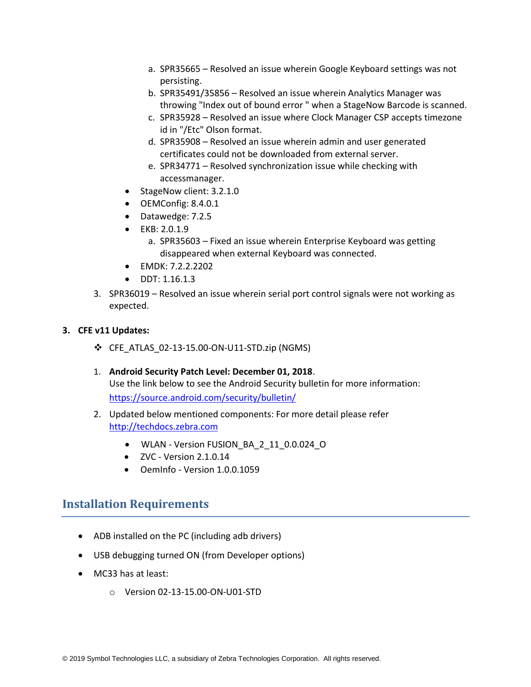- a. SPR35665 Resolved an issue wherein Google Keyboard settings was not persisting.
- b. SPR35491/35856 Resolved an issue wherein Analytics Manager was throwing "Index out of bound error " when a StageNow Barcode is scanned.
- c. SPR35928 Resolved an issue where Clock Manager CSP accepts timezone id in "/Etc" Olson format.
- d. SPR35908 Resolved an issue wherein admin and user generated certificates could not be downloaded from external server.
- e. SPR34771 Resolved synchronization issue while checking with accessmanager.
- StageNow client: 3.2.1.0
- OEMConfig: 8.4.0.1
- Datawedge: 7.2.5
- EKB: 2.0.1.9
	- a. SPR35603 Fixed an issue wherein Enterprise Keyboard was getting disappeared when external Keyboard was connected.
- EMDK: 7.2.2.2202
- DDT: 1.16.1.3
- 3. SPR36019 Resolved an issue wherein serial port control signals were not working as expected.

#### **3. CFE v11 Updates:**

- ❖ CFE\_ATLAS\_02-13-15.00-ON-U11-STD.zip (NGMS)
- 1. **Android Security Patch Level: December 01, 2018**. Use the link below to see the Android Security bulletin for more information: <https://source.android.com/security/bulletin/>
- 2. Updated below mentioned components: For more detail please refer [http://techdocs.zebra.com](http://techdocs.zebra.com/)
	- WLAN Version FUSION\_BA\_2\_11\_0.0.024\_O
	- $\bullet$  ZVC Version 2.1.0.14
	- OemInfo Version 1.0.0.1059

## <span id="page-3-0"></span>**Installation Requirements**

- ADB installed on the PC (including adb drivers)
- USB debugging turned ON (from Developer options)
- MC33 has at least:
	- o Version 02-13-15.00-ON-U01-STD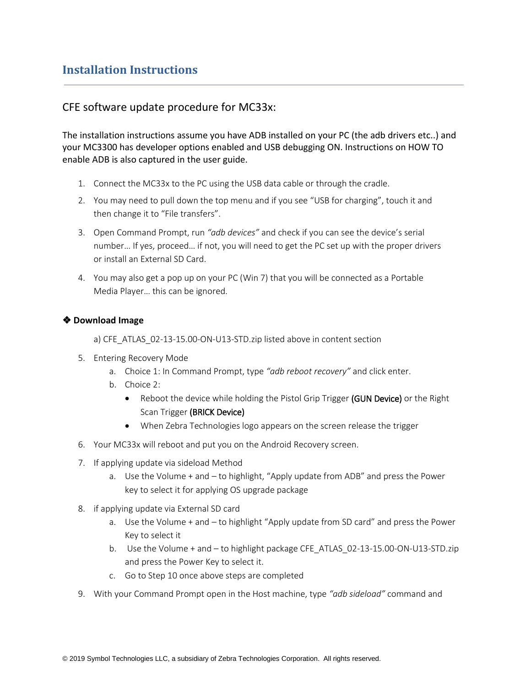## <span id="page-4-0"></span>**Installation Instructions**

#### CFE software update procedure for MC33x:

The installation instructions assume you have ADB installed on your PC (the adb drivers etc..) and your MC3300 has developer options enabled and USB debugging ON. Instructions on HOW TO enable ADB is also captured in the user guide.

- 1. Connect the MC33x to the PC using the USB data cable or through the cradle.
- 2. You may need to pull down the top menu and if you see "USB for charging", touch it and then change it to "File transfers".
- 3. Open Command Prompt, run *"adb devices"* and check if you can see the device's serial number… If yes, proceed… if not, you will need to get the PC set up with the proper drivers or install an External SD Card.
- 4. You may also get a pop up on your PC (Win 7) that you will be connected as a Portable Media Player… this can be ignored.

#### ❖ **Download Image**

a) CFE\_ATLAS\_02-13-15.00-ON-U13-STD.zip listed above in content section

- 5. Entering Recovery Mode
	- a. Choice 1: In Command Prompt, type *"adb reboot recovery"* and click enter.
	- b. Choice 2:
		- Reboot the device while holding the Pistol Grip Trigger (GUN Device) or the Right Scan Trigger (BRICK Device)
		- When Zebra Technologies logo appears on the screen release the trigger
- 6. Your MC33x will reboot and put you on the Android Recovery screen.
- 7. If applying update via sideload Method
	- a. Use the Volume + and to highlight, "Apply update from ADB" and press the Power key to select it for applying OS upgrade package
- 8. if applying update via External SD card
	- a. Use the Volume + and to highlight "Apply update from SD card" and press the Power Key to select it
	- b. Use the Volume + and to highlight package CFE\_ATLAS\_02-13-15.00-ON-U13-STD.zip and press the Power Key to select it.
	- c. Go to Step 10 once above steps are completed
- 9. With your Command Prompt open in the Host machine, type *"adb sideload"* command and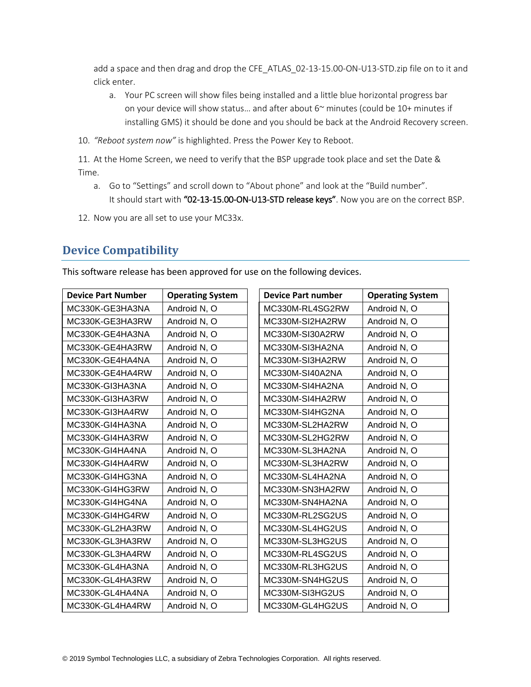add a space and then drag and drop the CFE\_ATLAS\_02-13-15.00-ON-U13-STD.zip file on to it and click enter.

- a. Your PC screen will show files being installed and a little blue horizontal progress bar on your device will show status... and after about  $6<sup>o</sup>$  minutes (could be 10+ minutes if installing GMS) it should be done and you should be back at the Android Recovery screen.
- 10. *"Reboot system now"* is highlighted. Press the Power Key to Reboot.

11. At the Home Screen, we need to verify that the BSP upgrade took place and set the Date & Time.

- a. Go to "Settings" and scroll down to "About phone" and look at the "Build number". It should start with "02-13-15.00-ON-U13-STD release keys". Now you are on the correct BSP.
- 12. Now you are all set to use your MC33x.

## <span id="page-5-0"></span>**Device Compatibility**

This software release has been approved for use on the following devices.

| <b>Device Part Number</b> | <b>Operating System</b> | <b>Device Part number</b> | <b>Operating System</b> |
|---------------------------|-------------------------|---------------------------|-------------------------|
| MC330K-GE3HA3NA           | Android N, O            | MC330M-RL4SG2RW           | Android N, O            |
| MC330K-GE3HA3RW           | Android N, O            | MC330M-SI2HA2RW           | Android N, O            |
| MC330K-GE4HA3NA           | Android N, O            | MC330M-SI30A2RW           | Android N, O            |
| MC330K-GE4HA3RW           | Android N, O            | MC330M-SI3HA2NA           | Android N, O            |
| MC330K-GE4HA4NA           | Android N, O            | MC330M-SI3HA2RW           | Android N, O            |
| MC330K-GE4HA4RW           | Android N, O            | MC330M-SI40A2NA           | Android N, O            |
| MC330K-GI3HA3NA           | Android N, O            | MC330M-SI4HA2NA           | Android N, O            |
| MC330K-GI3HA3RW           | Android N, O            | MC330M-SI4HA2RW           | Android N, O            |
| MC330K-GI3HA4RW           | Android N, O            | MC330M-SI4HG2NA           | Android N, O            |
| MC330K-GI4HA3NA           | Android N, O            | MC330M-SL2HA2RW           | Android N, O            |
| MC330K-GI4HA3RW           | Android N, O            | MC330M-SL2HG2RW           | Android N, O            |
| MC330K-GI4HA4NA           | Android N, O            | MC330M-SL3HA2NA           | Android N, O            |
| MC330K-GI4HA4RW           | Android N, O            | MC330M-SL3HA2RW           | Android N, O            |
| MC330K-GI4HG3NA           | Android N, O            | MC330M-SL4HA2NA           | Android N, O            |
| MC330K-GI4HG3RW           | Android N, O            | MC330M-SN3HA2RW           | Android N, O            |
| MC330K-GI4HG4NA           | Android N, O            | MC330M-SN4HA2NA           | Android N, O            |
| MC330K-GI4HG4RW           | Android N, O            | MC330M-RL2SG2US           | Android N, O            |
| MC330K-GL2HA3RW           | Android N, O            | MC330M-SL4HG2US           | Android N, O            |
| MC330K-GL3HA3RW           | Android N, O            | MC330M-SL3HG2US           | Android N, O            |
| MC330K-GL3HA4RW           | Android N, O            | MC330M-RL4SG2US           | Android N, O            |
| MC330K-GL4HA3NA           | Android N, O            | MC330M-RL3HG2US           | Android N, O            |
| MC330K-GL4HA3RW           | Android N, O            | MC330M-SN4HG2US           | Android N, O            |
| MC330K-GL4HA4NA           | Android N, O            | MC330M-SI3HG2US           | Android N, O            |
| MC330K-GL4HA4RW           | Android N, O            | MC330M-GL4HG2US           | Android N, O            |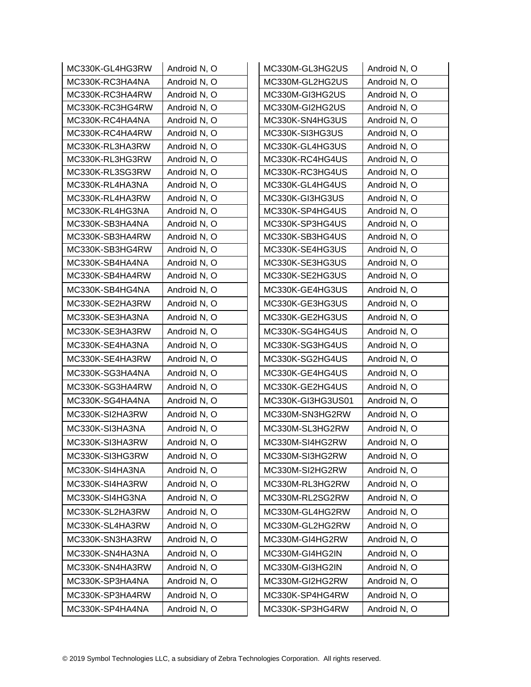| MC330K-GL4HG3RW | Android N, O | MC330M-GL3HG2US   | Android N, O |
|-----------------|--------------|-------------------|--------------|
| MC330K-RC3HA4NA | Android N, O | MC330M-GL2HG2US   | Android N, O |
| MC330K-RC3HA4RW | Android N, O | MC330M-GI3HG2US   | Android N, O |
| MC330K-RC3HG4RW | Android N, O | MC330M-GI2HG2US   | Android N, O |
| MC330K-RC4HA4NA | Android N, O | MC330K-SN4HG3US   | Android N, O |
| MC330K-RC4HA4RW | Android N, O | MC330K-SI3HG3US   | Android N, O |
| MC330K-RL3HA3RW | Android N, O | MC330K-GL4HG3US   | Android N, O |
| MC330K-RL3HG3RW | Android N, O | MC330K-RC4HG4US   | Android N, O |
| MC330K-RL3SG3RW | Android N, O | MC330K-RC3HG4US   | Android N, O |
| MC330K-RL4HA3NA | Android N, O | MC330K-GL4HG4US   | Android N, O |
| MC330K-RL4HA3RW | Android N, O | MC330K-GI3HG3US   | Android N, O |
| MC330K-RL4HG3NA | Android N, O | MC330K-SP4HG4US   | Android N, O |
| MC330K-SB3HA4NA | Android N, O | MC330K-SP3HG4US   | Android N, O |
| MC330K-SB3HA4RW | Android N, O | MC330K-SB3HG4US   | Android N, O |
| MC330K-SB3HG4RW | Android N, O | MC330K-SE4HG3US   | Android N, O |
| MC330K-SB4HA4NA | Android N, O | MC330K-SE3HG3US   | Android N, O |
| MC330K-SB4HA4RW | Android N, O | MC330K-SE2HG3US   | Android N, O |
| MC330K-SB4HG4NA | Android N, O | MC330K-GE4HG3US   | Android N, O |
| MC330K-SE2HA3RW | Android N, O | MC330K-GE3HG3US   | Android N, O |
| MC330K-SE3HA3NA | Android N, O | MC330K-GE2HG3US   | Android N, O |
| MC330K-SE3HA3RW | Android N, O | MC330K-SG4HG4US   | Android N, O |
| MC330K-SE4HA3NA | Android N, O | MC330K-SG3HG4US   | Android N, O |
| MC330K-SE4HA3RW | Android N, O | MC330K-SG2HG4US   | Android N, O |
| MC330K-SG3HA4NA | Android N, O | MC330K-GE4HG4US   | Android N, O |
| MC330K-SG3HA4RW | Android N, O | MC330K-GE2HG4US   | Android N, O |
| MC330K-SG4HA4NA | Android N, O | MC330K-GI3HG3US01 | Android N, O |
| MC330K-SI2HA3RW | Android N, O | MC330M-SN3HG2RW   | Android N, O |
| MC330K-SI3HA3NA | Android N, O | MC330M-SL3HG2RW   | Android N, O |
| MC330K-SI3HA3RW | Android N, O | MC330M-SI4HG2RW   | Android N, O |
| MC330K-SI3HG3RW | Android N, O | MC330M-SI3HG2RW   | Android N, O |
| MC330K-SI4HA3NA | Android N, O | MC330M-SI2HG2RW   | Android N, O |
| MC330K-SI4HA3RW | Android N, O | MC330M-RL3HG2RW   | Android N, O |
| MC330K-SI4HG3NA | Android N, O | MC330M-RL2SG2RW   | Android N, O |
| MC330K-SL2HA3RW | Android N, O | MC330M-GL4HG2RW   | Android N, O |
| MC330K-SL4HA3RW | Android N, O | MC330M-GL2HG2RW   | Android N, O |
| MC330K-SN3HA3RW | Android N, O | MC330M-GI4HG2RW   | Android N, O |
| MC330K-SN4HA3NA | Android N, O | MC330M-GI4HG2IN   | Android N, O |
| MC330K-SN4HA3RW | Android N, O | MC330M-GI3HG2IN   | Android N, O |
| MC330K-SP3HA4NA | Android N, O | MC330M-GI2HG2RW   | Android N, O |
| MC330K-SP3HA4RW | Android N, O | MC330K-SP4HG4RW   | Android N, O |
| MC330K-SP4HA4NA | Android N, O | MC330K-SP3HG4RW   | Android N, O |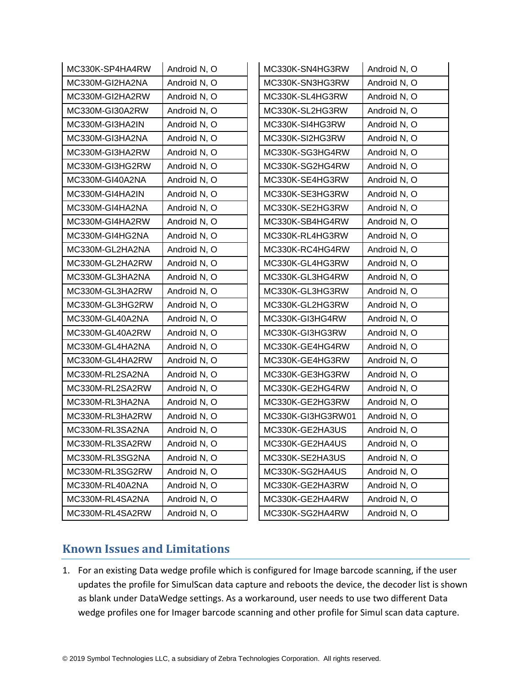| MC330K-SP4HA4RW | Android N, O | MC330K-SN4HG3RW   | Android N, O |
|-----------------|--------------|-------------------|--------------|
| MC330M-GI2HA2NA | Android N, O | MC330K-SN3HG3RW   | Android N, O |
| MC330M-GI2HA2RW | Android N, O | MC330K-SL4HG3RW   | Android N, O |
| MC330M-GI30A2RW | Android N, O | MC330K-SL2HG3RW   | Android N, O |
| MC330M-GI3HA2IN | Android N, O | MC330K-SI4HG3RW   | Android N, O |
| MC330M-GI3HA2NA | Android N, O | MC330K-SI2HG3RW   | Android N, O |
| MC330M-GI3HA2RW | Android N, O | MC330K-SG3HG4RW   | Android N, O |
| MC330M-GI3HG2RW | Android N, O | MC330K-SG2HG4RW   | Android N, O |
| MC330M-GI40A2NA | Android N, O | MC330K-SE4HG3RW   | Android N, O |
| MC330M-GI4HA2IN | Android N, O | MC330K-SE3HG3RW   | Android N, O |
| MC330M-GI4HA2NA | Android N, O | MC330K-SE2HG3RW   | Android N, O |
| MC330M-GI4HA2RW | Android N, O | MC330K-SB4HG4RW   | Android N, O |
| MC330M-GI4HG2NA | Android N, O | MC330K-RL4HG3RW   | Android N, O |
| MC330M-GL2HA2NA | Android N, O | MC330K-RC4HG4RW   | Android N, O |
| MC330M-GL2HA2RW | Android N, O | MC330K-GL4HG3RW   | Android N, O |
| MC330M-GL3HA2NA | Android N, O | MC330K-GL3HG4RW   | Android N, O |
| MC330M-GL3HA2RW | Android N, O | MC330K-GL3HG3RW   | Android N, O |
| MC330M-GL3HG2RW | Android N, O | MC330K-GL2HG3RW   | Android N, O |
| MC330M-GL40A2NA | Android N, O | MC330K-GI3HG4RW   | Android N, O |
| MC330M-GL40A2RW | Android N, O | MC330K-GI3HG3RW   | Android N, O |
| MC330M-GL4HA2NA | Android N, O | MC330K-GE4HG4RW   | Android N, O |
| MC330M-GL4HA2RW | Android N, O | MC330K-GE4HG3RW   | Android N, O |
| MC330M-RL2SA2NA | Android N, O | MC330K-GE3HG3RW   | Android N, O |
| MC330M-RL2SA2RW | Android N, O | MC330K-GE2HG4RW   | Android N, O |
| MC330M-RL3HA2NA | Android N, O | MC330K-GE2HG3RW   | Android N, O |
| MC330M-RL3HA2RW | Android N, O | MC330K-GI3HG3RW01 | Android N, O |
| MC330M-RL3SA2NA | Android N, O | MC330K-GE2HA3US   | Android N, O |
| MC330M-RL3SA2RW | Android N, O | MC330K-GE2HA4US   | Android N, O |
| MC330M-RL3SG2NA | Android N, O | MC330K-SE2HA3US   | Android N, O |
| MC330M-RL3SG2RW | Android N, O | MC330K-SG2HA4US   | Android N, O |
| MC330M-RL40A2NA | Android N, O | MC330K-GE2HA3RW   | Android N, O |
| MC330M-RL4SA2NA | Android N, O | MC330K-GE2HA4RW   | Android N, O |
| MC330M-RL4SA2RW | Android N, O | MC330K-SG2HA4RW   | Android N, O |

## <span id="page-7-0"></span>**Known Issues and Limitations**

1. For an existing Data wedge profile which is configured for Image barcode scanning, if the user updates the profile for SimulScan data capture and reboots the device, the decoder list is shown as blank under DataWedge settings. As a workaround, user needs to use two different Data wedge profiles one for Imager barcode scanning and other profile for Simul scan data capture.